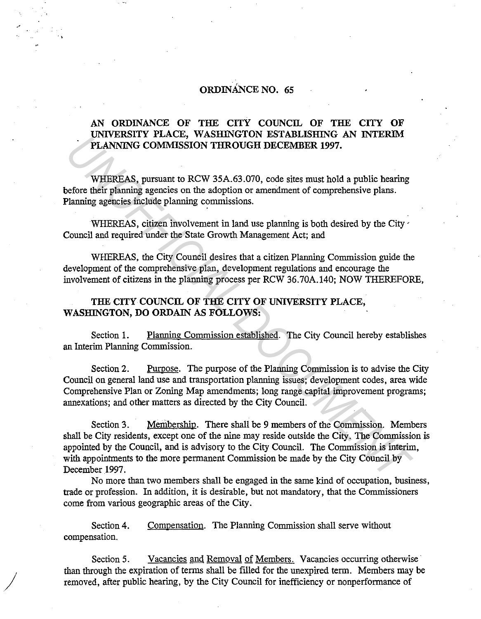## ORDINANCE NO. 65

..

 $\bigg)$ 

## AN ORDINANCE OF THE CITY COUNCIL OF THE CITY OF UNIVERSITY PLACE, WASHINGTON ESTABLISHING AN INTERIM PLANNING COMMISSION THROUGH DECEMBER 1997.

WHEREAS, pursuant to RCW 35A.63.070, code sites must hold a public hearing before their planning agencies on the adoption or amendment of comprehensive plans. Planning agencies include planning commissions.

WHEREAS, citizen involvement in land use planning is both desired by the City. Council and required under the State Growth Management Act; and

WHEREAS, the City Council desires that a citizen Planning Commission guide the development of the comprehensive plan, development regulations and encourage the involvement of citizens in the planning process per RCW 36.70A.140; NOW THEREFORE,

## THE CITY COUNCIL OF THE CITY OF UNIVERSITY PLACE, WASHINGTON, DO ORDAIN AS FOLLOWS:

Section 1. Planning Commission established. The City Council hereby establishes an Interim Planning Commission.

Section 2. Purpose. The purpose of the Planning Commission is to advise the City Council on general land use and transportation planning issues; development codes, area wide Comprehensive Plan or Zoning Map amendments; long range capital improvement programs; annexations; and other matters as directed by the City Council.

Section 3. Membership. There shall be 9 members of the Commission. Members shall be City residents, except one of the nine may reside outside the City. The Commission is appointed by the Council, and is advisory to the City Council. The Commission is interim, with appointments to the more permanent Commission be made by the City Council by December 1997. **UNA EXAMPLE COMMISSION THROUGH DECEMBER 1997.**<br> **PLANNING COMMISSION THROUGH DECEMBER 1997.**<br> **WHEREAS**, pursuant to RCW 35A.63.070, code sites must hold a public hearing<br> *UNENERAS*, pursuant to RCW 35A.63.070, code site

No more than two members shall be engaged in the same kind of occupation, business, trade or profession. In addition, it is desirable, but not mandatory, that the Commissioners come from various geographic areas of the City.

Section 4. compensation. Compensation. The Planning Commission shall serve without

Section 5. Vacancies and Removal of Members. Vacancies occurring otherwise than through the expiration of terms shall be filled for the unexpired term. Members may be removed, after public hearing, by the City Council for inefficiency or nonperformance of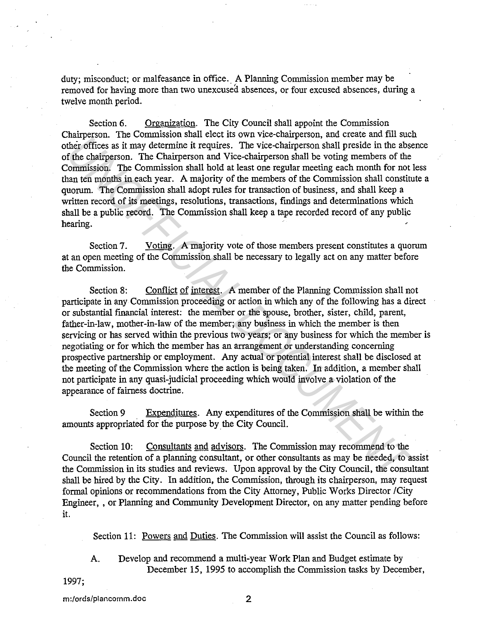duty; misconduct; or malfeasance in office. A Planning Commission member may be removed for having more than two unexcused absences, or four excused absences, during a twelve month period.

Section 6. Organization. The City Council shall appoint the Commission Chairperson. The Commission shall elect its own vice-chairperson, and create and fill such other offices as it may determine it requires. The vice-chairperson shall preside in the absence of the chairperson. The Chairperson and Vice-chairperson shall be voting members of the Commission. The Commission shall hold at least one regular meeting each month for not less than ten months in each year. A majority of the members of the Commission shall constitute a quorum. The commission shall adopt rules for transaction of business, and shall keep a written record of its meetings, resolutions, transactions, findings and determinations which shall be a public record. The Commission shall keep a tape recorded record of any public hearing.

Section 7. Voting. A majority vote of those members present constitutes a quorum at an open meeting of the Commission shall be necessary to legally act on any matter before the Commission.

Section 8: Conflict of interest. A member of the Planning Commission shall not participate in any Commission proceeding or action in which any of the following has a direct or substantial financial interest: the member or the spouse, brother, sister, child, parent, father-in-law, mother-in-law of the member; any business in which the member is then servicing or has served within the previous two years; or any business for which the member is negotiating or for which the member has an arrangement or understanding concerning prospective partnership or employment. Any actual or potential interest shall be disclosed at the meeting of the Commission where the action is being taken. In addition, a member shall not participate in any quasi-judicial proceeding which would involve a violation of the appearance of fairness doctrine. *Uniterially* in the Commission stand react in our areas and the react that the react that is the definites a it may determine it requires. The vice-chairperson shall preside in the absorber fithe chairperson. The Commissi

Section 9 Expenditures. Any expenditures of the Commission shall be within the amounts appropriated for the purpose by the City Council.

Section 10: Consultants and advisors. The Commission may recommend to the Council the retention of a planning consultant, or other consultants as may be needed, to assist the Commission in its studies and reviews. Upon approval by the City Council, the consultant shall be hired by the City. In addition, the Commission, through its chairperson, may request formal opinions or recommendations from the City Attorney, Public Works Director /City Engineer, , or Planning and Community Development Director, on any matter pending before it.

Section 11: Powers and Duties. The Commission will assist the Council as follows:

A. Develop and recommend a multi-year Work Plan and Budget estimate by December 15, 1995 to accomplish the Commission tasks by December,

1997;

m:/ords/plancomm.doc 2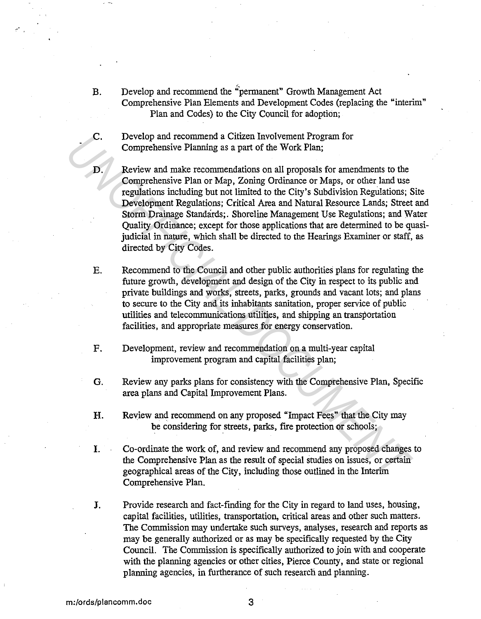- B. Develop and recommend the "permanent" Growth Management Act Comprehensive Plan Elements and Development Codes (replacing the "interim" Plan and Codes) to the City Council for adoption;
- C. Develop and recommend a Citizen Involvement Program for Comprehensive Planning as a part of the Work Plan;
- D. Review and make recommendations on all proposals for amendments to the Comprehensive Plan or Map, Zoning Ordinance or Maps, or other land use regulations including but not limited to the City's Subdivision Regulations; Site Development Regulations; Critical Area and Natural Resource Lands; Street and Storm Drainage Standards;. Shoreline Management Use Regulations; and Water Quality Ordinance; except for those applications that are determined to be quasijudicial in nature, which shall be directed to the Hearings Examiner or staff, as directed by City Codes. C. Develop and continent a Citzten involuement Program for<br>
D. Comprehensive Planning as a part of the Work Plan;<br>
D. Review and make recommendations on all proposals for amendments to the<br>
comprehensive Plan or Map, Zonin
	- E. Recommend to the Council and other public authorities plans for regulating the future growth, development and design of the City in respect to its public and private buildings and works, streets, parks, grounds and vacant lots; and plans to secure to the City and its inhabitants sanitation, proper service of public utilities and telecommunications utilities, and shipping an transportation facilities, and appropriate measures for energy conservation.
	- F. Development, review and recommendation on a multi-year capital improvement program and capital facilities plan;
	- G. Review any parks plans for consistency with the Comprehensive Plan, Specific area plans and Capital Improvement Plans.
	- H. Review and recommend on any proposed "Impact Fees" that the City may be considering for streets, parks, fire protection or schools;
	- I. Co-ordinate the work of, and review and recommend any proposed changes to the Comprehensive Plan as the result of special studies on issues, or certain geographical areas of the City, including those outlined in the Interim Comprehensive Plan.
	- J. Provide research and fact-finding for the City in regard to land uses, housing, capital facilities, utilities, transportation, critical areas and other such matters. The Commission may undertake such surveys, analyses, research and reports as may be generally authorized or as may be specifically requested by the City Council. The Commission is specifically authorized to join with and cooperate with the planning agencies or other cities, Pierce County, and state or regional planning agencies, in furtherance of such research and planning.